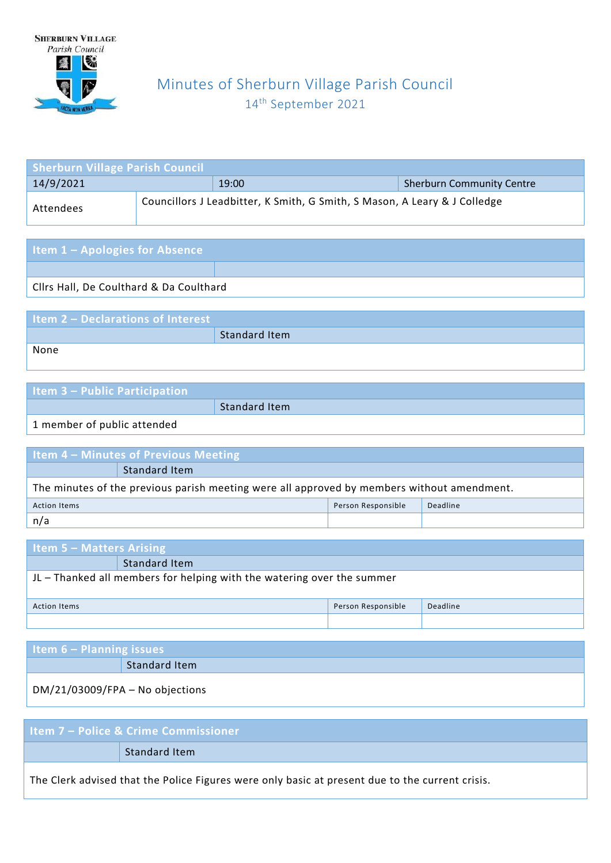

## Minutes of Sherburn Village Parish Council 14 th September 2021

| <b>Sherburn Village Parish Council</b> |                                                                           |                                  |
|----------------------------------------|---------------------------------------------------------------------------|----------------------------------|
| 14/9/2021                              | 19:00                                                                     | <b>Sherburn Community Centre</b> |
| Attendees                              | Councillors J Leadbitter, K Smith, G Smith, S Mason, A Leary & J Colledge |                                  |

| <b>Item 1 - Apologies for Absence</b>   |  |
|-----------------------------------------|--|
|                                         |  |
| Cilrs Hall, De Coulthard & Da Coulthard |  |
|                                         |  |

| <b>Item 2 - Declarations of Interest</b> |               |
|------------------------------------------|---------------|
|                                          | Standard Item |
| None                                     |               |

| <b>Item 3 - Public Participation</b> |               |
|--------------------------------------|---------------|
|                                      | Standard Item |
| 1 monday of public attorded          |               |

1 member of public attended

| Item 4 - Minutes of Previous Meeting                                                       |                      |  |  |  |
|--------------------------------------------------------------------------------------------|----------------------|--|--|--|
|                                                                                            | <b>Standard Item</b> |  |  |  |
| The minutes of the previous parish meeting were all approved by members without amendment. |                      |  |  |  |
| Person Responsible<br>Deadline<br><b>Action Items</b>                                      |                      |  |  |  |
| n/a                                                                                        |                      |  |  |  |

| <b>Item 5 – Matters Arising</b>                                        |               |  |  |  |
|------------------------------------------------------------------------|---------------|--|--|--|
|                                                                        | Standard Item |  |  |  |
| JL - Thanked all members for helping with the watering over the summer |               |  |  |  |
| Deadline<br>Person Responsible<br>Action Items                         |               |  |  |  |
|                                                                        |               |  |  |  |

| Item $6 -$ Planning issues      |               |  |
|---------------------------------|---------------|--|
|                                 | Standard Item |  |
| DM/21/03009/FPA - No objections |               |  |

| <b>Item 7 – Police &amp; Crime Commissioner</b>                                                 |
|-------------------------------------------------------------------------------------------------|
| Standard Item                                                                                   |
| The Clerk advised that the Police Figures were only basic at present due to the current crisis. |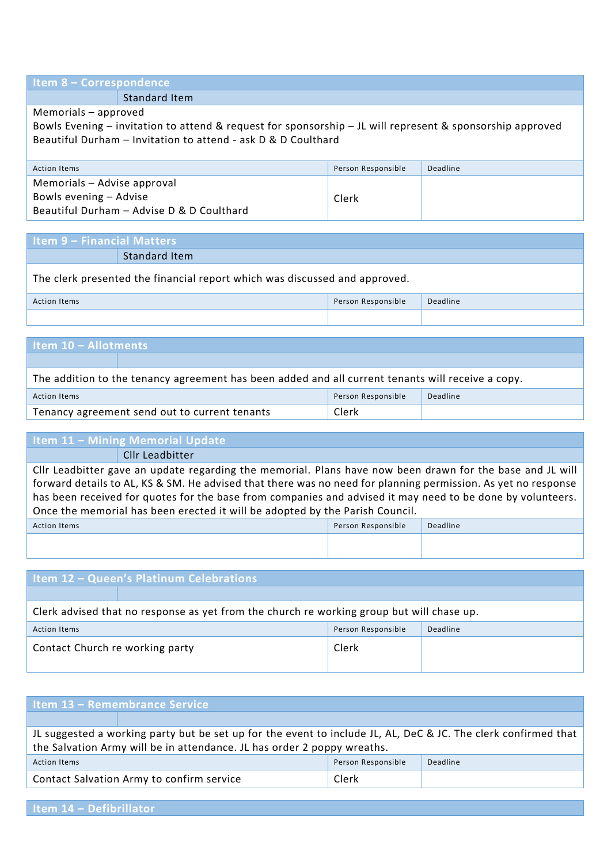#### **Item 8 – Correspondence**

Standard Item

Memorials – approved

Bowls Evening – invitation to attend & request for sponsorship – JL will represent & sponsorship approved Beautiful Durham – Invitation to attend - ask D & D Coulthard

| <b>Action Items</b>                       | Person Responsible | Deadline |
|-------------------------------------------|--------------------|----------|
| Memorials - Advise approval               |                    |          |
| Bowls evening – Advise                    | Clerk              |          |
| Beautiful Durham - Advise D & D Coulthard |                    |          |

| <b>Item 9 - Financial Matters</b> |                                                                            |  |   |  |
|-----------------------------------|----------------------------------------------------------------------------|--|---|--|
|                                   | <b>Standard Item</b>                                                       |  |   |  |
|                                   | The clerk presented the financial report which was discussed and approved. |  |   |  |
|                                   |                                                                            |  | . |  |

| Action Items | Person Responsible | Deadline |
|--------------|--------------------|----------|
|              |                    |          |

# **Item 10 – Allotments**  The addition to the tenancy agreement has been added and all current tenants will receive a copy. Action Items Person Responsible Deadline Tenancy agreement send out to current tenants Clerk

## **Item 11 – Mining Memorial Update**

Cllr Leadbitter

Cllr Leadbitter gave an update regarding the memorial. Plans have now been drawn for the base and JL will forward details to AL, KS & SM. He advised that there was no need for planning permission. As yet no response has been received for quotes for the base from companies and advised it may need to be done by volunteers. Once the memorial has been erected it will be adopted by the Parish Council.

| Person Responsible | Deadline |
|--------------------|----------|
|                    |          |
|                    |          |

| <b>Item 12 - Queen's Platinum Celebrations</b>                                            |          |  |  |
|-------------------------------------------------------------------------------------------|----------|--|--|
|                                                                                           |          |  |  |
| Clerk advised that no response as yet from the church re working group but will chase up. |          |  |  |
| Person Responsible                                                                        | Deadline |  |  |
| Clerk                                                                                     |          |  |  |
|                                                                                           |          |  |  |

| Item 13 - Remembrance Service                                                                                  |                                           |                    |          |
|----------------------------------------------------------------------------------------------------------------|-------------------------------------------|--------------------|----------|
|                                                                                                                |                                           |                    |          |
| IL suggested a working party but be set up for the event to include JL, AL, DeC & JC. The clerk confirmed that |                                           |                    |          |
| the Salvation Army will be in attendance. JL has order 2 poppy wreaths.                                        |                                           |                    |          |
| <b>Action Items</b>                                                                                            |                                           | Person Responsible | Deadline |
|                                                                                                                | Contact Salvation Army to confirm service | Clerk              |          |
|                                                                                                                |                                           |                    |          |